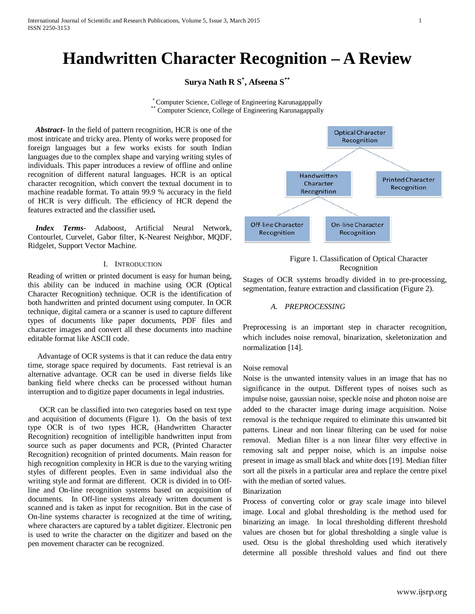# **Handwritten Character Recognition – A Review**

**Surya Nath R S\* , Afseena S\*\***

\* Computer Science, College of Engineering Karunagappally \*\* Computer Science, College of Engineering Karunagappally

 *Abstract***-** In the field of pattern recognition, HCR is one of the most intricate and tricky area. Plenty of works were proposed for foreign languages but a few works exists for south Indian languages due to the complex shape and varying writing styles of individuals. This paper introduces a review of offline and online recognition of different natural languages. HCR is an optical character recognition, which convert the textual document in to machine readable format. To attain 99.9 % accuracy in the field of HCR is very difficult. The efficiency of HCR depend the features extracted and the classifier used**.** 

 *Index Terms*- Adaboost, Artificial Neural Network, Contourlet, Curvelet, Gabor filter, K-Nearest Neighbor, MQDF, Ridgelet, Support Vector Machine.

# I. INTRODUCTION

Reading of written or printed document is easy for human being, this ability can be induced in machine using OCR (Optical Character Recognition) technique. OCR is the identification of both handwritten and printed document using computer. In OCR technique, digital camera or a scanner is used to capture different types of documents like paper documents, PDF files and character images and convert all these documents into machine editable format like ASCII code.

 Advantage of OCR systems is that it can reduce the data entry time, storage space required by documents. Fast retrieval is an alternative advantage. OCR can be used in diverse fields like banking field where checks can be processed without human interruption and to digitize paper documents in legal industries.

 OCR can be classified into two categories based on text type and acquisition of documents (Figure 1). On the basis of text type OCR is of two types HCR, (Handwritten Character Recognition) recognition of intelligible handwritten input from source such as paper documents and PCR, (Printed Character Recognition) recognition of printed documents. Main reason for high recognition complexity in HCR is due to the varying writing styles of different peoples. Even in same individual also the writing style and format are different. OCR is divided in to Offline and On-line recognition systems based on acquisition of documents. In Off-line systems already written document is scanned and is taken as input for recognition. But in the case of On-line systems character is recognized at the time of writing, where characters are captured by a tablet digitizer. Electronic pen is used to write the character on the digitizer and based on the pen movement character can be recognized.



Figure 1. Classification of Optical Character Recognition

Stages of OCR systems broadly divided in to pre-processing, segmentation, feature extraction and classification (Figure 2).

#### *A. PREPROCESSING*

Preprocessing is an important step in character recognition, which includes noise removal, binarization, skeletonization and normalization [14].

#### Noise removal

Noise is the unwanted intensity values in an image that has no significance in the output. Different types of noises such as impulse noise, gaussian noise, speckle noise and photon noise are added to the character image during image acquisition. Noise removal is the technique required to eliminate this unwanted bit patterns. Linear and non linear filtering can be used for noise removal. Median filter is a non linear filter very effective in removing salt and pepper noise, which is an impulse noise present in image as small black and white dots [19]. Median filter sort all the pixels in a particular area and replace the centre pixel with the median of sorted values.

#### Binarization

Process of converting color or gray scale image into bilevel image. Local and global thresholding is the method used for binarizing an image. In local thresholding different threshold values are chosen but for global thresholding a single value is used. Otsu is the global thresholding used which iteratively determine all possible threshold values and find out there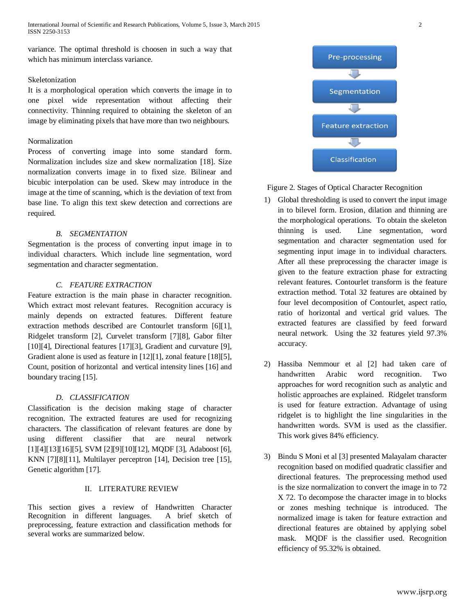variance. The optimal threshold is choosen in such a way that which has minimum interclass variance.

# Skeletonization

It is a morphological operation which converts the image in to one pixel wide representation without affecting their connectivity. Thinning required to obtaining the skeleton of an image by eliminating pixels that have more than two neighbours.

# Normalization

Process of converting image into some standard form. Normalization includes size and skew normalization [18]. Size normalization converts image in to fixed size. Bilinear and bicubic interpolation can be used. Skew may introduce in the image at the time of scanning, which is the deviation of text from base line. To align this text skew detection and corrections are required.

#### *B. SEGMENTATION*

Segmentation is the process of converting input image in to individual characters. Which include line segmentation, word segmentation and character segmentation.

# *C. FEATURE EXTRACTION*

Feature extraction is the main phase in character recognition. Which extract most relevant features. Recognition accuracy is mainly depends on extracted features. Different feature extraction methods described are Contourlet transform [6][1], Ridgelet transform [2], Curvelet transform [7][8], Gabor filter [10][4], Directional features [17][3], Gradient and curvature [9], Gradient alone is used as feature in [12][1], zonal feature [18][5], Count, position of horizontal and vertical intensity lines [16] and boundary tracing [15].

# *D. CLASSIFICATION*

Classification is the decision making stage of character recognition. The extracted features are used for recognizing characters. The classification of relevant features are done by using different classifier that are neural network [1][4][13][16][5], SVM [2][9][10][12], MQDF [3], Adaboost [6], KNN [7][8][11], Multilayer perceptron [14], Decision tree [15], Genetic algorithm [17].

### II. LITERATURE REVIEW

This section gives a review of Handwritten Character Recognition in different languages. A brief sketch of preprocessing, feature extraction and classification methods for several works are summarized below.



Figure 2. Stages of Optical Character Recognition

- 1) Global thresholding is used to convert the input image in to bilevel form. Erosion, dilation and thinning are the morphological operations. To obtain the skeleton thinning is used. Line segmentation, word segmentation and character segmentation used for segmenting input image in to individual characters. After all these preprocessing the character image is given to the feature extraction phase for extracting relevant features. Contourlet transform is the feature extraction method. Total 32 features are obtained by four level decomposition of Contourlet, aspect ratio, ratio of horizontal and vertical grid values. The extracted features are classified by feed forward neural network. Using the 32 features yield 97.3% accuracy.
- 2) Hassiba Nemmour et al [2] had taken care of handwritten Arabic word recognition. Two approaches for word recognition such as analytic and holistic approaches are explained. Ridgelet transform is used for feature extraction. Advantage of using ridgelet is to highlight the line singularities in the handwritten words. SVM is used as the classifier. This work gives 84% efficiency.
- 3) Bindu S Moni et al [3] presented Malayalam character recognition based on modified quadratic classifier and directional features. The preprocessing method used is the size normalization to convert the image in to 72 X 72. To decompose the character image in to blocks or zones meshing technique is introduced. The normalized image is taken for feature extraction and directional features are obtained by applying sobel mask. MQDF is the classifier used. Recognition efficiency of 95.32% is obtained.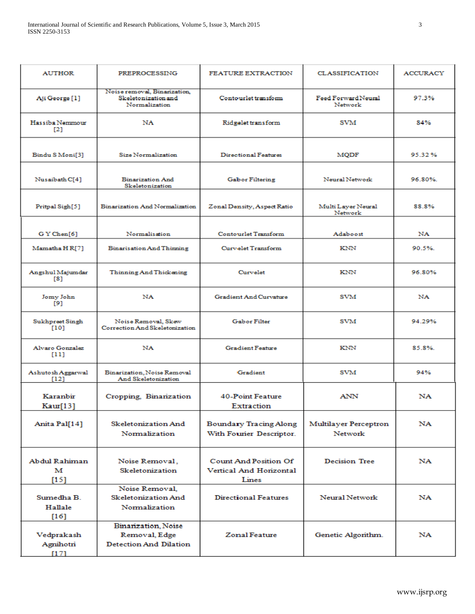| <b>AUTHOR</b>                   | <b>PREPROCESSING</b>                                                  | <b>FEATURE EXTRACTION</b>                                               | <b>CLASSIFICATION</b>            | <b>ACCURACY</b> |
|---------------------------------|-----------------------------------------------------------------------|-------------------------------------------------------------------------|----------------------------------|-----------------|
| Aji George [1]                  | Noise removal, Binarization,<br>Skeletonization and<br>Normalization  | Contourlet transform                                                    | Feed Forward Neural<br>Network   | 97.3%           |
| Hassiba Nemmour<br>$\Gamma$ 21  | NA                                                                    | Ridgelet transform                                                      | SVM                              | 84%             |
| Bindu S Moni[3]                 | Size Normalization                                                    | Directional Features                                                    | <b>MODF</b>                      | 95.32%          |
| Nusaibath C[4]                  | <b>Binarization And</b><br>Skeletonization                            | Gabor Filtering                                                         | Neural Network                   | 96.80%          |
| Pritpal Sigh[5]                 | <b>Binarization And Normalization</b>                                 | Zonal Density, Aspect Ratio                                             | Multi Layer Neural<br>Network    | 88.8%           |
| GY Chen[6]                      | Normalisation                                                         | Contourlet Transform                                                    | Adaboost                         | <b>NA</b>       |
| Mamatha HR[7]                   | <b>Binarisation And Thinning</b>                                      | Curvelet Transform                                                      | KNN                              | 90.5%.          |
| Angshul Majumdar<br>$^{[8]}$    | Thinning And Thickening                                               | Curvelet                                                                | KNN                              | 96.80%          |
| Jomy John<br>[9]                | <b>NA</b>                                                             | Gradient And Curvature                                                  | SVM                              | <b>NA</b>       |
| Sukhpreet Singh<br>$[10]$       | Noise Removal, Skew<br>Correction And Skeletonization                 | <b>Gabor Filter</b>                                                     | SVM                              | 94.29%          |
| Alvaro Gonzalez<br>[11]         | NA                                                                    | <b>Gradient Feature</b>                                                 | KNN                              | 85.8%.          |
| Ashutosh Aggarwal<br>[12]       | Binarization, Noise Removal<br>And Skeletonization                    | Gradient                                                                | SVM                              | 94%             |
| Karanbir<br>Kaur[13]            | Cropping, Binarization                                                | <b>40-Point Feature</b><br>Extraction                                   | <b>ANN</b>                       | NA              |
| Anita Pal[14]                   | Skeletonization And<br>Normalization                                  | <b>Boundary Tracing Along</b><br>With Fourier Descriptor.               | Multilayer Perceptron<br>Network | NA              |
| Abdul Rahiman<br>м<br>[15]      | Noise Removal,<br>Skeletonization                                     | <b>Count And Position Of</b><br><b>Vertical And Horizontal</b><br>Lines | <b>Decision Tree</b>             | NA              |
| Sumedha B.<br>Hallale<br>$[16]$ | Noise Removal,<br><b>Skeletonization And</b><br>Normalization         | <b>Directional Features</b>                                             | Neural Network                   | NA              |
| Vedprakash<br>Agnihotri<br>[17] | Binarization, Noise<br>Removal, Edge<br><b>Detection And Dilation</b> | Zonal Feature                                                           | Genetic Algorithm.               | NA              |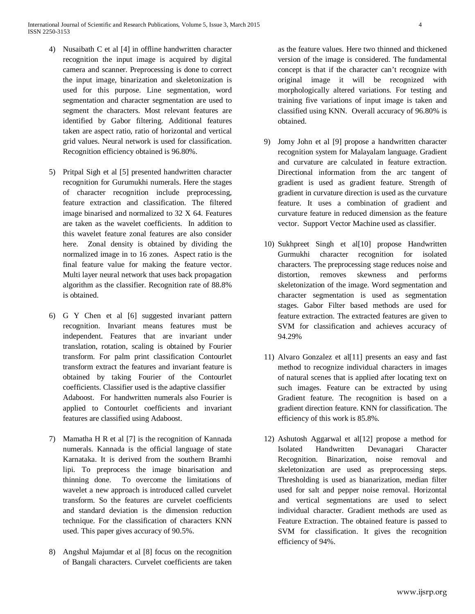- 4) Nusaibath C et al [4] in offline handwritten character recognition the input image is acquired by digital camera and scanner. Preprocessing is done to correct the input image, binarization and skeletonization is used for this purpose. Line segmentation, word segmentation and character segmentation are used to segment the characters. Most relevant features are identified by Gabor filtering. Additional features taken are aspect ratio, ratio of horizontal and vertical grid values. Neural network is used for classification. Recognition efficiency obtained is 96.80%.
- 5) Pritpal Sigh et al [5] presented handwritten character recognition for Gurumukhi numerals. Here the stages of character recognition include preprocessing, feature extraction and classification. The filtered image binarised and normalized to 32 X 64. Features are taken as the wavelet coefficients. In addition to this wavelet feature zonal features are also consider here. Zonal density is obtained by dividing the normalized image in to 16 zones. Aspect ratio is the final feature value for making the feature vector. Multi layer neural network that uses back propagation algorithm as the classifier. Recognition rate of 88.8% is obtained.
- 6) G Y Chen et al [6] suggested invariant pattern recognition. Invariant means features must be independent. Features that are invariant under translation, rotation, scaling is obtained by Fourier transform. For palm print classification Contourlet transform extract the features and invariant feature is obtained by taking Fourier of the Contourlet coefficients. Classifier used is the adaptive classifier Adaboost. For handwritten numerals also Fourier is applied to Contourlet coefficients and invariant features are classified using Adaboost.
- 7) Mamatha H R et al [7] is the recognition of Kannada numerals. Kannada is the official language of state Karnataka. It is derived from the southern Bramhi lipi. To preprocess the image binarisation and thinning done. To overcome the limitations of wavelet a new approach is introduced called curvelet transform. So the features are curvelet coefficients and standard deviation is the dimension reduction technique. For the classification of characters KNN used. This paper gives accuracy of 90.5%.
- 8) Angshul Majumdar et al [8] focus on the recognition of Bangali characters. Curvelet coefficients are taken

as the feature values. Here two thinned and thickened version of the image is considered. The fundamental concept is that if the character can't recognize with original image it will be recognized with morphologically altered variations. For testing and training five variations of input image is taken and classified using KNN. Overall accuracy of 96.80% is obtained.

- 9) Jomy John et al [9] propose a handwritten character recognition system for Malayalam language. Gradient and curvature are calculated in feature extraction. Directional information from the arc tangent of gradient is used as gradient feature. Strength of gradient in curvature direction is used as the curvature feature. It uses a combination of gradient and curvature feature in reduced dimension as the feature vector. Support Vector Machine used as classifier.
- 10) Sukhpreet Singh et al[10] propose Handwritten Gurmukhi character recognition for isolated characters. The preprocessing stage reduces noise and distortion, removes skewness and performs skeletonization of the image. Word segmentation and character segmentation is used as segmentation stages. Gabor Filter based methods are used for feature extraction. The extracted features are given to SVM for classification and achieves accuracy of 94.29%
- 11) Alvaro Gonzalez et al[11] presents an easy and fast method to recognize individual characters in images of natural scenes that is applied after locating text on such images. Feature can be extracted by using Gradient feature. The recognition is based on a gradient direction feature. KNN for classification. The efficiency of this work is 85.8%.
- 12) Ashutosh Aggarwal et al[12] propose a method for Isolated Handwritten Devanagari Character Recognition. Binarization, noise removal and skeletonization are used as preprocessing steps. Thresholding is used as bianarization, median filter used for salt and pepper noise removal. Horizontal and vertical segmentations are used to select individual character. Gradient methods are used as Feature Extraction. The obtained feature is passed to SVM for classification. It gives the recognition efficiency of 94%.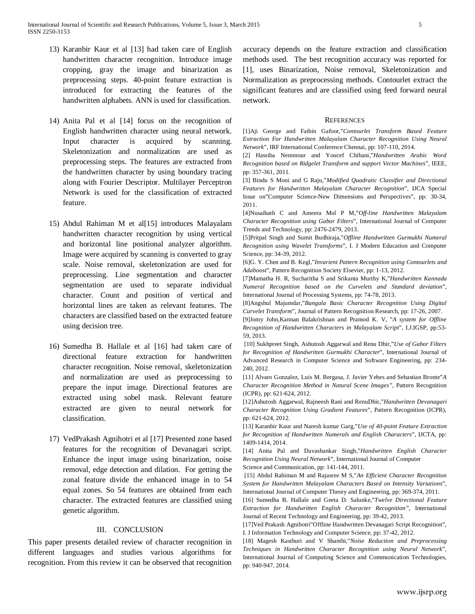- 13) Karanbir Kaur et al [13] had taken care of English handwritten character recognition. Introduce image cropping, gray the image and binarization as preprocessing steps. 40-point feature extraction is introduced for extracting the features of the handwritten alphabets. ANN is used for classification.
- 14) Anita Pal et al [14] focus on the recognition of English handwritten character using neural network. Input character is acquired by scanning. Skeletonization and normalization are used as preprocessing steps. The features are extracted from the handwritten character by using boundary tracing along with Fourier Descriptor. Multilayer Perceptron Network is used for the classification of extracted feature.
- 15) Abdul Rahiman M et al[15] introduces Malayalam handwritten character recognition by using vertical and horizontal line positional analyzer algorithm. Image were acquired by scanning is converted to gray scale. Noise removal, skeletonization are used for preprocessing. Line segmentation and character segmentation are used to separate individual character. Count and position of vertical and horizontal lines are taken as relevant features. The characters are classified based on the extracted feature using decision tree.
- 16) Sumedha B. Hallale et al [16] had taken care of directional feature extraction for handwritten character recognition. Noise removal, skeletonization and normalization are used as preprocessing to prepare the input image. Directional features are extracted using sobel mask. Relevant feature extracted are given to neural network for classification.
- 17) VedPrakash Agnihotri et al [17] Presented zone based features for the recognition of Devanagari script. Enhance the input image using binarization, noise removal, edge detection and dilation. For getting the zonal feature divide the enhanced image in to 54 equal zones. So 54 features are obtained from each character. The extracted features are classified using genetic algorithm.

# III. CONCLUSION

This paper presents detailed review of character recognition in different languages and studies various algorithms for recognition. From this review it can be observed that recognition accuracy depends on the feature extraction and classification methods used. The best recognition accuracy was reported for [1], uses Binarization, Noise removal, Skeletonization and Normalization as preprocessing methods. Contourlet extract the significant features and are classified using feed forward neural network.

#### **REFERENCES**

[1]Aji George and Faibin Gafoor,"*Contourlet Transform Based Feature Extraction For Handwritten Malayalam Character Recognition Using Neural Network*", IRF International Conference Chennai, pp: 107-110, 2014.

[2] Hassiba Nemmour and Youcef Chibani,"*Handwritten Arabic Word Recognition based on Ridgelet Transform and support Vector Machines*", IEEE, pp: 357-361, 2011.

[3] Bindu S Moni and G Raju,"*Modified Quadratic Classifier and Directional Features for Handwritten Malayalam Character Recognition*", IJCA Special Issue on"Computer Science-New Dimensions and Perspectives", pp: 30-34, 2011.

[4]Nusaibath C and Ameera Mol P M,"*Off-line Handwritten Malayalam Character Recognition using Gabor Filters*", International Journal of Computer Trends and Technology, pp: 2476-2479, 2013.

[5]Pritpal Singh and Sumit Budhiraja,"*Offline Handwritten Gurmukhi Numeral Recognition using Wavelet Transforms*", I. J Modern Education and Computer Science, pp: 34-39, 2012.

[6]G. Y. Chen and B. Kegl,"*Invarient Pattern Recognition using Contourlets and Adaboost*", Pattern Recognition Society Elsevier, pp: 1-13, 2012.

[7]Mamatha H. R, Sucharitha S and Srikanta Murthy K,"*Handwritten Kannada Numeral Recognition based on the Curvelets and Standard deviation*", International Journal of Processing Systems, pp: 74-78, 2013.

[8]Angshul Majumdar,"*Bangala Basic Character Recognition Using Digital Curvelet Transform*", Journal of Pattern Recognition Research, pp: 17-26, 2007.

[9]Jomy John,Kannan Balakrishnan and Pramod K. V, "*A system for Offline Recognition of Handwritten Characters in Malayalam Script*", I.J.IGSP, pp:53- 59, 2013.

[10] Sukhpreet Singh, Ashutosh Aggarwal and Renu Dhir,"*Use of Gabor Filters for Recognition of Handwritten Gurmukhi Character*", International Journal of Advanced Research in Computer Science and Software Engineering, pp: 234- 240, 2012.

[11] Alvaro Gonzalez, Luis M. Bergasa, J. Javier Yebes and Sebastian Bronte"*A Character Recognition Method in Natural Scene Images",* Pattern Recognition (ICPR), pp: 621-624, 2012.

[12]Ashutosh Aggarwal, Rajneesh Rani and RenuDhir,"*Handwritten Devanagari Character Recognition Using Gradient Features*", Pattern Recognition (ICPR), pp: 621-624, 2012.

[13] Karanbir Kaur and Naresh kumar Garg,"*Use of 40-point Feature Extraction for Recognition of Handwritten Numerals and English Characters*", IJCTA, pp: 1409-1414, 2014.

[14] Anita Pal and Davashankar Singh,"*Handwritten English Character Recognition Using Neural Network*", International Journal of Computer Science and Communication, pp: 141-144, 2011.

[15] Abdul Rahiman M and Rajasree M S,"*An Efficient Character Recognition System for Handwritten Malayalam Characters Based on Intensity Variations*", International Journal of Computer Theory and Engineering, pp: 369-374, 2011.

[16] Sumedha B. Hallale and Geeta D. Salunke,"*Twelve Directional Feature Extraction for Handwritten English Character Recognition"*, International Journal of Recent Technology and Engineering, pp: 39-42, 2013.

[17]Ved Prakash Agnihotri"Offline Handwritten Devanagari Script Recognition", I. J Information Technology and Computer Science, pp: 37-42, 2012.

[18] Magesh Kasthuri and V Shanthi,"*Noise Reduction and Preprocessing Techniques in Handwritten Character Recognition using Neural Network*", International Journal of Computing Science and Communication Technologies, pp: 940-947, 2014.